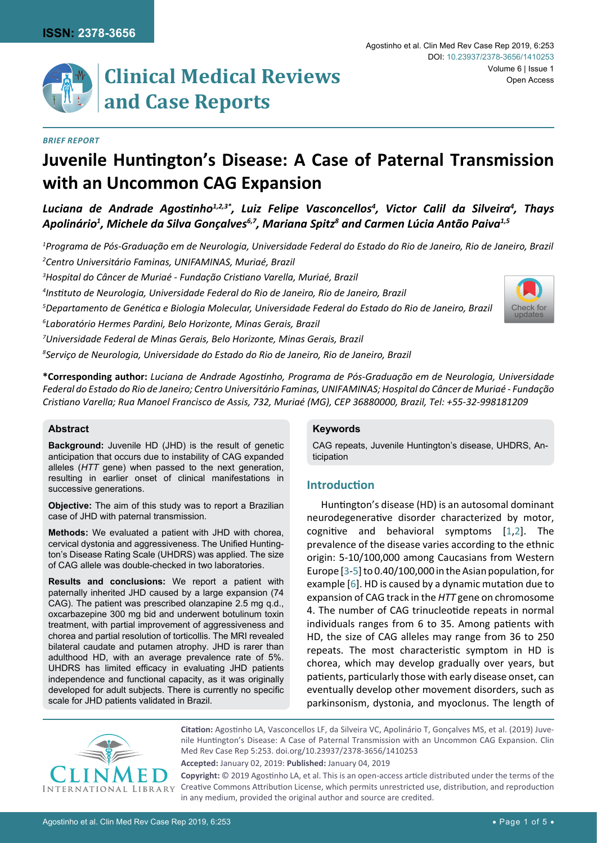# *Brief Report*

# **Juvenile Huntington's Disease: A Case of Paternal Transmission with an Uncommon CAG Expansion**

*Luciana de Andrade Agostinho1,2,3\*, Luiz Felipe Vasconcellos4 , Victor Calil da Silveira4 , Thays*  Apolinário<sup>1</sup>, Michele da Silva Gonçalves<sup>6,7</sup>, Mariana Spitz<sup>8</sup> and Carmen Lúcia Antão Paiva<sup>1,5</sup>

*1 Programa de Pós-Graduação em de Neurologia, Universidade Federal do Estado do Rio de Janeiro, Rio de Janeiro, Brazil 2 Centro Universitário Faminas, UNIFAMINAS, Muriaé, Brazil*

*3 Hospital do Câncer de Muriaé - Fundação Cristiano Varella, Muriaé, Brazil*

*4 Instituto de Neurologia, Universidade Federal do Rio de Janeiro, Rio de Janeiro, Brazil* 

*5 Departamento de Genética e Biologia Molecular, Universidade Federal do Estado do Rio de Janeiro, Brazil* 

*6 Laboratório Hermes Pardini, Belo Horizonte, Minas Gerais, Brazil*

*7 Universidade Federal de Minas Gerais, Belo Horizonte, Minas Gerais, Brazil*

*8 Serviço de Neurologia, Universidade do Estado do Rio de Janeiro, Rio de Janeiro, Brazil*

**\*Corresponding author:** *Luciana de Andrade Agostinho, Programa de Pós-Graduação em de Neurologia, Universidade Federal do Estado do Rio de Janeiro; Centro Universitário Faminas, UNIFAMINAS; Hospital do Câncer de Muriaé - Fundação Cristiano Varella; Rua Manoel Francisco de Assis, 732, Muriaé (MG), CEP 36880000, Brazil, Tel: +55-32-998181209*

### **Abstract**

**Background:** Juvenile HD (JHD) is the result of genetic anticipation that occurs due to instability of CAG expanded alleles (*HTT* gene) when passed to the next generation, resulting in earlier onset of clinical manifestations in successive generations.

**Objective:** The aim of this study was to report a Brazilian case of JHD with paternal transmission.

**Methods:** We evaluated a patient with JHD with chorea, cervical dystonia and aggressiveness. The Unified Huntington's Disease Rating Scale (UHDRS) was applied. The size of CAG allele was double-checked in two laboratories.

**Results and conclusions:** We report a patient with paternally inherited JHD caused by a large expansion (74 CAG). The patient was prescribed olanzapine 2.5 mg q.d., oxcarbazepine 300 mg bid and underwent botulinum toxin treatment, with partial improvement of aggressiveness and chorea and partial resolution of torticollis. The MRI revealed bilateral caudate and putamen atrophy. JHD is rarer than adulthood HD, with an average prevalence rate of 5%. UHDRS has limited efficacy in evaluating JHD patients independence and functional capacity, as it was originally developed for adult subjects. There is currently no specific scale for JHD patients validated in Brazil.

### **Keywords**

CAG repeats, Juvenile Huntington's disease, UHDRS, Anticipation

# **Introduction**

Huntington's disease (HD) is an autosomal dominant neurodegenerative disorder characterized by motor, cognitive and behavioral symptoms [[1,](#page-3-0)[2\]](#page-3-1). The prevalence of the disease varies according to the ethnic origin: 5-10/100,000 among Caucasians from Western Europe [\[3](#page-3-2)-[5\]](#page-3-3) to 0.40/100,000 in the Asian population, for example [[6](#page-3-4)]. HD is caused by a dynamic mutation due to expansion of CAG track in the *HTT* gene on chromosome 4. The number of CAG trinucleotide repeats in normal individuals ranges from 6 to 35. Among patients with HD, the size of CAG alleles may range from 36 to 250 repeats. The most characteristic symptom in HD is chorea, which may develop gradually over years, but patients, particularly those with early disease onset, can eventually develop other movement disorders, such as parkinsonism, dystonia, and myoclonus. The length of



**Citation:** Agostinho LA, Vasconcellos LF, da Silveira VC, Apolinário T, Gonçalves MS, et al. (2019) Juvenile Huntington's Disease: A Case of Paternal Transmission with an Uncommon CAG Expansion. Clin Med Rev Case Rep 5:253. [doi.org/10.23937/2378-3656/1410253](https://doi.org/10.23937/2378-3656/1410253)

**Accepted:** January 02, 2019: **Published:** January 04, 2019

**Copyright:** © 2019 Agostinho LA, et al. This is an open-access article distributed under the terms of the Creative Commons Attribution License, which permits unrestricted use, distribution, and reproduction in any medium, provided the original author and source are credited.

[Check for](http://crossmark.crossref.org/dialog/?doi=10.23937/2378-3656/1410253&domain=pdf) updates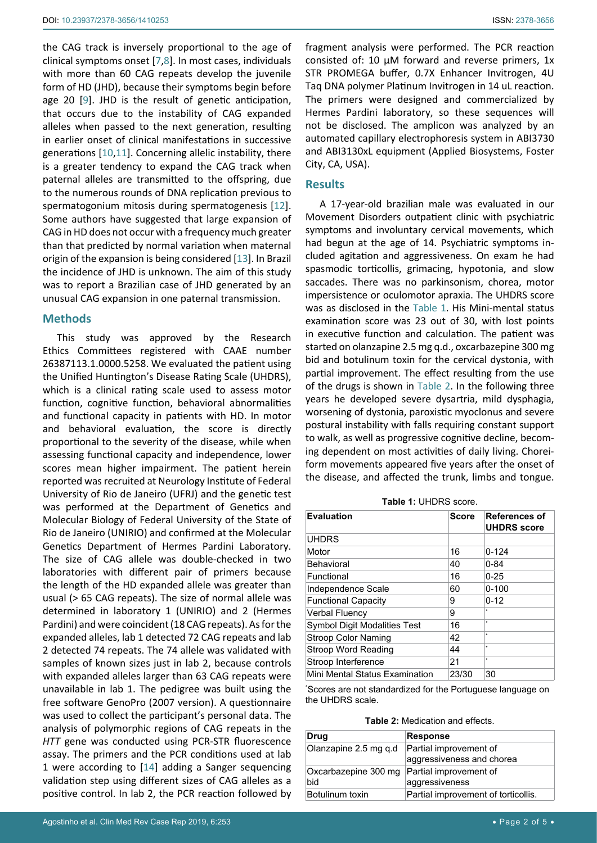the CAG track is inversely proportional to the age of clinical symptoms onset [\[7](#page-3-5)[,8](#page-3-6)]. In most cases, individuals with more than 60 CAG repeats develop the juvenile form of HD (JHD), because their symptoms begin before age 20 [[9](#page-3-7)]. JHD is the result of genetic anticipation, that occurs due to the instability of CAG expanded alleles when passed to the next generation, resulting in earlier onset of clinical manifestations in successive generations [[10,](#page-3-8)[11\]](#page-3-9). Concerning allelic instability, there is a greater tendency to expand the CAG track when paternal alleles are transmitted to the offspring, due to the numerous rounds of DNA replication previous to spermatogonium mitosis during spermatogenesis [\[12](#page-3-10)]. Some authors have suggested that large expansion of CAG in HD does not occur with a frequency much greater than that predicted by normal variation when maternal origin of the expansion is being considered [\[13](#page-3-11)]. In Brazil the incidence of JHD is unknown. The aim of this study was to report a Brazilian case of JHD generated by an unusual CAG expansion in one paternal transmission.

# **Methods**

This study was approved by the Research Ethics Committees registered with CAAE number 26387113.1.0000.5258. We evaluated the patient using the Unified Huntington's Disease Rating Scale (UHDRS), which is a clinical rating scale used to assess motor function, cognitive function, behavioral abnormalities and functional capacity in patients with HD. In motor and behavioral evaluation, the score is directly proportional to the severity of the disease, while when assessing functional capacity and independence, lower scores mean higher impairment. The patient herein reported was recruited at Neurology Institute of Federal University of Rio de Janeiro (UFRJ) and the genetic test was performed at the Department of Genetics and Molecular Biology of Federal University of the State of Rio de Janeiro (UNIRIO) and confirmed at the Molecular Genetics Department of Hermes Pardini Laboratory. The size of CAG allele was double-checked in two laboratories with different pair of primers because the length of the HD expanded allele was greater than usual (> 65 CAG repeats). The size of normal allele was determined in laboratory 1 (UNIRIO) and 2 (Hermes Pardini) and were coincident (18 CAG repeats). As for the expanded alleles, lab 1 detected 72 CAG repeats and lab 2 detected 74 repeats. The 74 allele was validated with samples of known sizes just in lab 2, because controls with expanded alleles larger than 63 CAG repeats were unavailable in lab 1. The pedigree was built using the free software GenoPro (2007 version). A questionnaire was used to collect the participant's personal data. The analysis of polymorphic regions of CAG repeats in the *HTT* gene was conducted using PCR-STR fluorescence assay. The primers and the PCR conditions used at lab 1 were according to [\[14](#page-4-0)] adding a Sanger sequencing validation step using different sizes of CAG alleles as a positive control. In lab 2, the PCR reaction followed by fragment analysis were performed. The PCR reaction consisted of: 10 μM forward and reverse primers, 1x STR PROMEGA buffer, 0.7X Enhancer Invitrogen, 4U Taq DNA polymer Platinum Invitrogen in 14 uL reaction. The primers were designed and commercialized by Hermes Pardini laboratory, so these sequences will not be disclosed. The amplicon was analyzed by an automated capillary electrophoresis system in ABI3730 and ABI3130xL equipment (Applied Biosystems, Foster City, CA, USA).

# **Results**

A 17-year-old brazilian male was evaluated in our Movement Disorders outpatient clinic with psychiatric symptoms and involuntary cervical movements, which had begun at the age of 14. Psychiatric symptoms included agitation and aggressiveness. On exam he had spasmodic torticollis, grimacing, hypotonia, and slow saccades. There was no parkinsonism, chorea, motor impersistence or oculomotor apraxia. The UHDRS score was as disclosed in the [Table 1](#page-1-0). His Mini-mental status examination score was 23 out of 30, with lost points in executive function and calculation. The patient was started on olanzapine 2.5 mg q.d., oxcarbazepine 300 mg bid and botulinum toxin for the cervical dystonia, with partial improvement. The effect resulting from the use of the drugs is shown in [Table 2](#page-1-1). In the following three years he developed severe dysartria, mild dysphagia, worsening of dystonia, paroxistic myoclonus and severe postural instability with falls requiring constant support to walk, as well as progressive cognitive decline, becoming dependent on most activities of daily living. Choreiform movements appeared five years after the onset of the disease, and affected the trunk, limbs and tongue.

<span id="page-1-0"></span>**Table 1:** UHDRS score.

| <b>Evaluation</b>                   | <b>Score</b> | <b>References of</b><br><b>UHDRS</b> score |
|-------------------------------------|--------------|--------------------------------------------|
| <b>UHDRS</b>                        |              |                                            |
| Motor                               | 16           | $0 - 124$                                  |
| Behavioral                          | 40           | $0 - 84$                                   |
| Functional                          | 16           | $0 - 25$                                   |
| Independence Scale                  | 60           | $0 - 100$                                  |
| <b>Functional Capacity</b>          | 9            | $0 - 12$                                   |
| <b>Verbal Fluency</b>               | 9            | $\star$                                    |
| <b>Symbol Digit Modalities Test</b> | 16           | $\star$                                    |
| Stroop Color Naming                 | 42           | $\star$                                    |
| Stroop Word Reading                 | 44           | $\star$                                    |
| Stroop Interference                 | 21           | $\star$                                    |
| Mini Mental Status Examination      | 23/30        | 30                                         |

\* Scores are not standardized for the Portuguese language on the UHDRS scale.

<span id="page-1-1"></span>

| <b>Table 2: Medication and effects.</b> |
|-----------------------------------------|
|-----------------------------------------|

| Drug                  | <b>Response</b>                     |  |
|-----------------------|-------------------------------------|--|
| Olanzapine 2.5 mg q.d | Partial improvement of              |  |
|                       | aggressiveness and chorea           |  |
| Oxcarbazepine 300 mg  | Partial improvement of              |  |
| bid                   | aggressiveness                      |  |
| Botulinum toxin       | Partial improvement of torticollis. |  |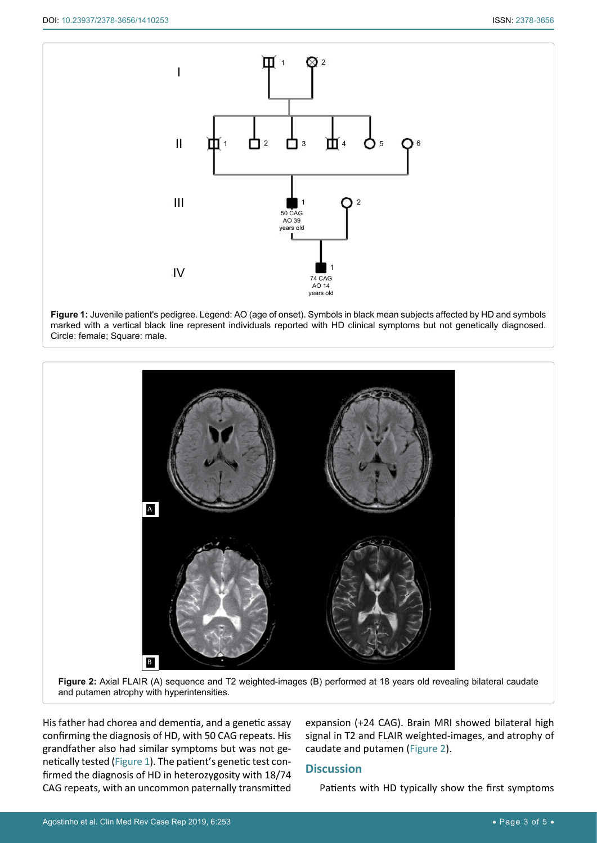<span id="page-2-1"></span>

**Figure 1:** Juvenile patient's pedigree. Legend: AO (age of onset). Symbols in black mean subjects affected by HD and symbols marked with a vertical black line represent individuals reported with HD clinical symptoms but not genetically diagnosed. Circle: female; Square: male.

<span id="page-2-0"></span>

**Figure 2:** Axial FLAIR (A) sequence and T2 weighted-images (B) performed at 18 years old revealing bilateral caudate and putamen atrophy with hyperintensities.

His father had chorea and dementia, and a genetic assay confirming the diagnosis of HD, with 50 CAG repeats. His grandfather also had similar symptoms but was not genetically tested ([Figure 1\)](#page-2-1). The patient's genetic test confirmed the diagnosis of HD in heterozygosity with 18/74 CAG repeats, with an uncommon paternally transmitted expansion (+24 CAG). Brain MRI showed bilateral high signal in T2 and FLAIR weighted-images, and atrophy of caudate and putamen ([Figure 2\)](#page-2-0).

# **Discussion**

Patients with HD typically show the first symptoms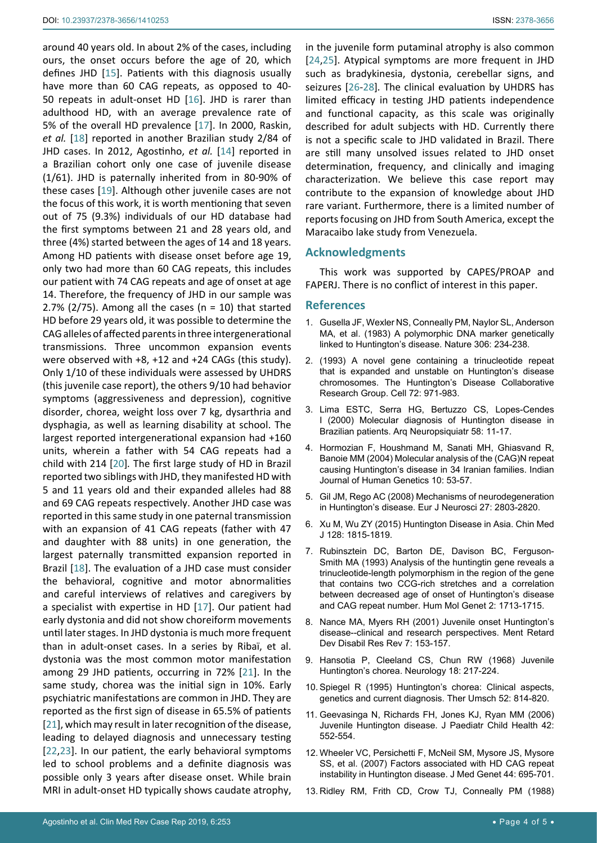around 40 years old. In about 2% of the cases, including ours, the onset occurs before the age of 20, which defines JHD [[15](#page-4-5)]. Patients with this diagnosis usually have more than 60 CAG repeats, as opposed to 40- 50 repeats in adult-onset HD [[16\]](#page-4-6). JHD is rarer than adulthood HD, with an average prevalence rate of 5% of the overall HD prevalence [[17\]](#page-4-7). In 2000, Raskin, *et al.* [\[18](#page-4-8)] reported in another Brazilian study 2/84 of JHD cases. In 2012, Agostinho, *et al.* [[14](#page-4-0)] reported in a Brazilian cohort only one case of juvenile disease (1/61). JHD is paternally inherited from in 80-90% of these cases [[19\]](#page-4-9). Although other juvenile cases are not the focus of this work, it is worth mentioning that seven out of 75 (9.3%) individuals of our HD database had the first symptoms between 21 and 28 years old, and three (4%) started between the ages of 14 and 18 years. Among HD patients with disease onset before age 19, only two had more than 60 CAG repeats, this includes our patient with 74 CAG repeats and age of onset at age 14. Therefore, the frequency of JHD in our sample was 2.7% (2/75). Among all the cases ( $n = 10$ ) that started HD before 29 years old, it was possible to determine the CAG alleles of affected parents in three intergenerational transmissions. Three uncommon expansion events were observed with +8, +12 and +24 CAGs (this study). Only 1/10 of these individuals were assessed by UHDRS (this juvenile case report), the others 9/10 had behavior symptoms (aggressiveness and depression), cognitive disorder, chorea, weight loss over 7 kg, dysarthria and dysphagia, as well as learning disability at school. The largest reported intergenerational expansion had +160 units, wherein a father with 54 CAG repeats had a child with 214 [[20](#page-4-10)]*.* The first large study of HD in Brazil reported two siblings with JHD, they manifested HD with 5 and 11 years old and their expanded alleles had 88 and 69 CAG repeats respectively. Another JHD case was reported in this same study in one paternal transmission with an expansion of 41 CAG repeats (father with 47 and daughter with 88 units) in one generation, the largest paternally transmitted expansion reported in Brazil [\[18\]](#page-4-8). The evaluation of a JHD case must consider the behavioral, cognitive and motor abnormalities and careful interviews of relatives and caregivers by a specialist with expertise in HD [[17\]](#page-4-7). Our patient had early dystonia and did not show choreiform movements until later stages. In JHD dystonia is much more frequent than in adult-onset cases. In a series by Ribaï, et al. dystonia was the most common motor manifestation among 29 JHD patients, occurring in 72% [[21\]](#page-4-11). In the same study, chorea was the initial sign in 10%. Early psychiatric manifestations are common in JHD. They are reported as the first sign of disease in 65.5% of patients [[21](#page-4-11)], which may result in later recognition of the disease, leading to delayed diagnosis and unnecessary testing [[22](#page-4-12),[23\]](#page-4-13). In our patient, the early behavioral symptoms led to school problems and a definite diagnosis was possible only 3 years after disease onset. While brain MRI in adult-onset HD typically shows caudate atrophy,

in the juvenile form putaminal atrophy is also common [\[24](#page-4-1)[,25](#page-4-2)]. Atypical symptoms are more frequent in JHD such as bradykinesia, dystonia, cerebellar signs, and seizures [[26](#page-4-3)-[28](#page-4-4)]*.* The clinical evaluation by UHDRS has limited efficacy in testing JHD patients independence and functional capacity, as this scale was originally described for adult subjects with HD. Currently there is not a specific scale to JHD validated in Brazil. There are still many unsolved issues related to JHD onset determination, frequency, and clinically and imaging characterization. We believe this case report may contribute to the expansion of knowledge about JHD rare variant. Furthermore, there is a limited number of reports focusing on JHD from South America, except the Maracaibo lake study from Venezuela.

### **Acknowledgments**

This work was supported by CAPES/PROAP and FAPERJ. There is no conflict of interest in this paper.

#### **References**

- <span id="page-3-0"></span>1. [Gusella JF, Wexler NS, Conneally PM, Naylor SL, Anderson](https://www.ncbi.nlm.nih.gov/pubmed/6316146)  [MA, et al. \(1983\) A polymorphic DNA marker genetically](https://www.ncbi.nlm.nih.gov/pubmed/6316146)  [linked to Huntington's disease. Nature 306: 234-238.](https://www.ncbi.nlm.nih.gov/pubmed/6316146)
- <span id="page-3-1"></span>2. [\(1993\) A novel gene containing a trinucleotide repeat](https://www.ncbi.nlm.nih.gov/pubmed/8458085)  [that is expanded and unstable on Huntington's disease](https://www.ncbi.nlm.nih.gov/pubmed/8458085)  [chromosomes. The Huntington's Disease Collaborative](https://www.ncbi.nlm.nih.gov/pubmed/8458085)  [Research Group. Cell 72: 971-983.](https://www.ncbi.nlm.nih.gov/pubmed/8458085)
- <span id="page-3-2"></span>3. [Lima ESTC, Serra HG, Bertuzzo CS, Lopes-Cendes](https://www.ncbi.nlm.nih.gov/pubmed/10770860)  [I \(2000\) Molecular diagnosis of Huntington disease in](https://www.ncbi.nlm.nih.gov/pubmed/10770860)  [Brazilian patients. Arq Neuropsiquiatr 58: 11-17.](https://www.ncbi.nlm.nih.gov/pubmed/10770860)
- 4. [Hormozian F, Houshmand M, Sanati MH, Ghiasvand R,](http://www.bioline.org.br/pdf?hg04012)  [Banoie MM \(2004\) Molecular analysis of the \(CAG\)N repeat](http://www.bioline.org.br/pdf?hg04012)  [causing Huntington's disease in 34 Iranian families. Indian](http://www.bioline.org.br/pdf?hg04012)  [Journal of Human Genetics 10: 53-57.](http://www.bioline.org.br/pdf?hg04012)
- <span id="page-3-3"></span>5. [Gil JM, Rego AC \(2008\) Mechanisms of neurodegeneration](https://www.ncbi.nlm.nih.gov/pubmed/18588526)  [in Huntington's disease. Eur J Neurosci 27: 2803-2820.](https://www.ncbi.nlm.nih.gov/pubmed/18588526)
- <span id="page-3-4"></span>6. [Xu M, Wu ZY \(2015\) Huntington Disease in Asia. Chin Med](http://www.cmj.org/article.asp?issn=0366-6999;year=2015;volume=128;issue=13;spage=1815;epage=1819;aulast=Xu)  [J 128: 1815-1819.](http://www.cmj.org/article.asp?issn=0366-6999;year=2015;volume=128;issue=13;spage=1815;epage=1819;aulast=Xu)
- <span id="page-3-5"></span>7. [Rubinsztein DC, Barton DE, Davison BC, Ferguson-](https://www.ncbi.nlm.nih.gov/pubmed/8268927)[Smith MA \(1993\) Analysis of the huntingtin gene reveals a](https://www.ncbi.nlm.nih.gov/pubmed/8268927)  [trinucleotide-length polymorphism in the region of the gene](https://www.ncbi.nlm.nih.gov/pubmed/8268927)  [that contains two CCG-rich stretches and a correlation](https://www.ncbi.nlm.nih.gov/pubmed/8268927)  [between decreased age of onset of Huntington's disease](https://www.ncbi.nlm.nih.gov/pubmed/8268927)  [and CAG repeat number. Hum Mol Genet 2: 1713-1715.](https://www.ncbi.nlm.nih.gov/pubmed/8268927)
- <span id="page-3-6"></span>8. [Nance MA, Myers RH \(2001\) Juvenile onset Huntington's](https://www.ncbi.nlm.nih.gov/pubmed/11553930)  [disease--clinical and research perspectives. Ment Retard](https://www.ncbi.nlm.nih.gov/pubmed/11553930)  [Dev Disabil Res Rev 7: 153-157.](https://www.ncbi.nlm.nih.gov/pubmed/11553930)
- <span id="page-3-7"></span>9. [Hansotia P, Cleeland CS, Chun RW \(1968\) Juvenile](https://www.ncbi.nlm.nih.gov/pubmed/4231060)  [Huntington's chorea. Neurology 18: 217-224.](https://www.ncbi.nlm.nih.gov/pubmed/4231060)
- <span id="page-3-8"></span>10. [Spiegel R \(1995\) Huntington's chorea: Clinical aspects,](https://www.ncbi.nlm.nih.gov/pubmed/8539653)  [genetics and current diagnosis. Ther Umsch 52: 814-820.](https://www.ncbi.nlm.nih.gov/pubmed/8539653)
- <span id="page-3-9"></span>11. [Geevasinga N, Richards FH, Jones KJ, Ryan MM \(2006\)](https://onlinelibrary.wiley.com/doi/abs/10.1111/j.1440-1754.2006.00921.x)  [Juvenile Huntington disease. J Paediatr Child Health 42:](https://onlinelibrary.wiley.com/doi/abs/10.1111/j.1440-1754.2006.00921.x)  [552-554.](https://onlinelibrary.wiley.com/doi/abs/10.1111/j.1440-1754.2006.00921.x)
- <span id="page-3-10"></span>12. [Wheeler VC, Persichetti F, McNeil SM, Mysore JS, Mysore](https://www.ncbi.nlm.nih.gov/pmc/articles/PMC2705129/)  [SS, et al. \(2007\) Factors associated with HD CAG repeat](https://www.ncbi.nlm.nih.gov/pmc/articles/PMC2705129/)  [instability in Huntington disease. J Med Genet 44: 695-701.](https://www.ncbi.nlm.nih.gov/pmc/articles/PMC2705129/)
- <span id="page-3-11"></span>13. [Ridley RM, Frith CD, Crow TJ, Conneally PM \(1988\)](https://www.ncbi.nlm.nih.gov/pubmed/2972838)